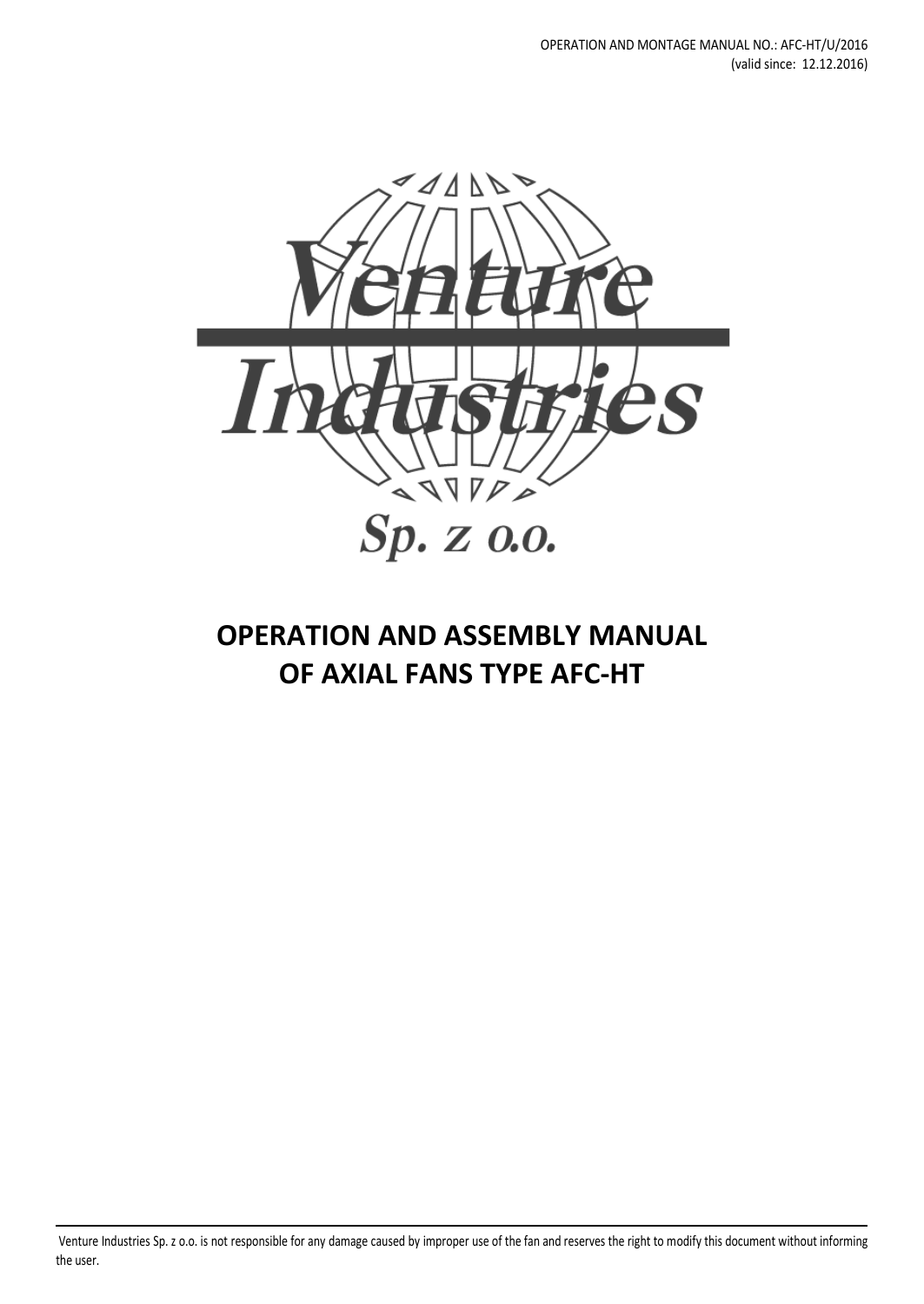

# **OPERATION AND ASSEMBLY MANUAL OF AXIAL FANS TYPE AFC-HT**

Venture Industries Sp. z o.o. is not responsible for any damage caused by improper use of the fan and reserves the right to modify this document without informing the user.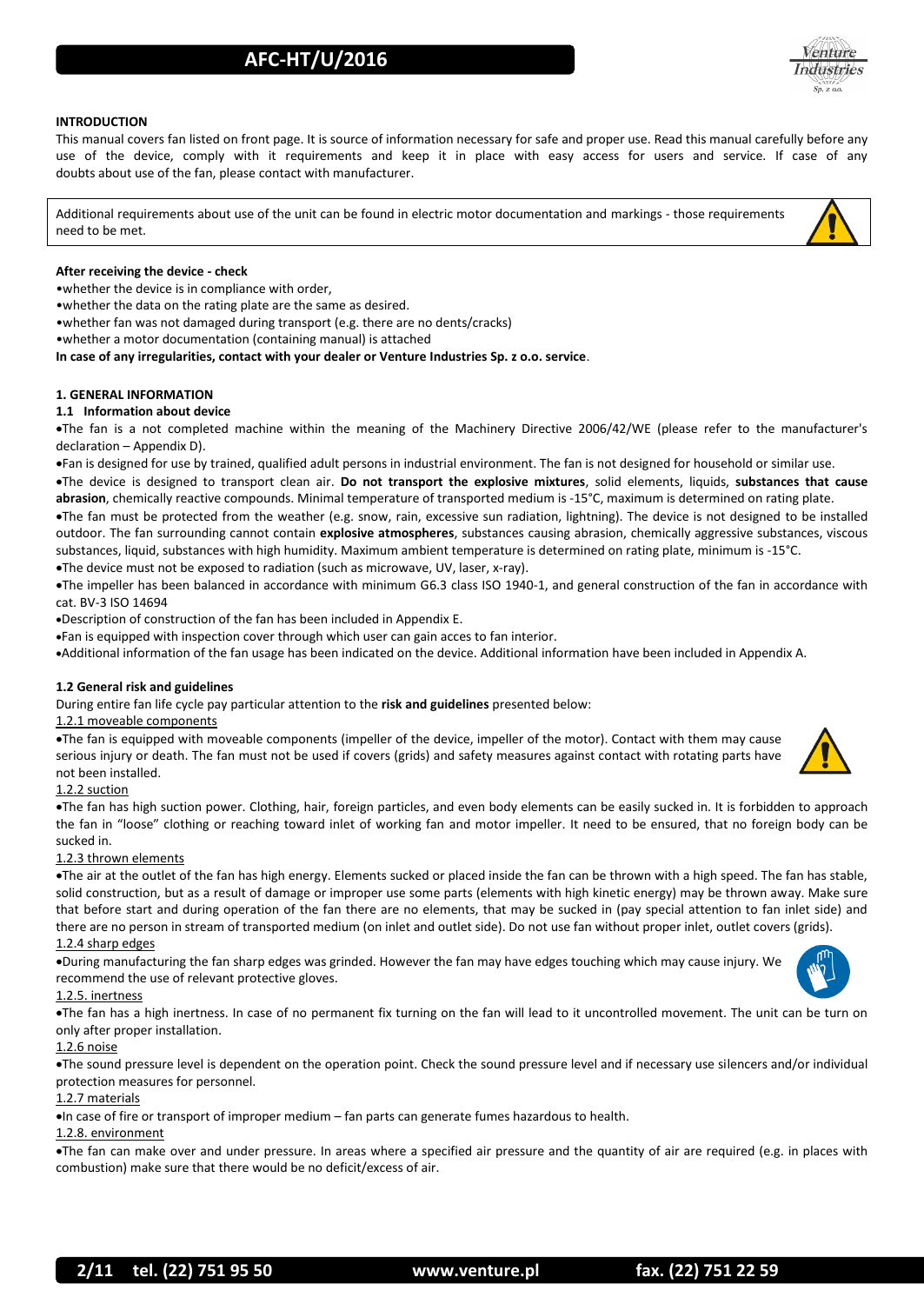

#### **INTRODUCTION**

This manual covers fan listed on front page. It is source of information necessary for safe and proper use. Read this manual carefully before any use of the device, comply with it requirements and keep it in place with easy access for users and service. If case of any doubts about use of the fan, please contact with manufacturer.

Additional requirements about use of the unit can be found in electric motor documentation and markings - those requirements need to be met.

#### **After receiving the device - check**

•whether the device is in compliance with order,

•whether the data on the rating plate are the same as desired.

•whether fan was not damaged during transport (e.g. there are no dents/cracks)

•whether a motor documentation (containing manual) is attached

**In case of any irregularities, contact with your dealer or Venture Industries Sp. z o.o. service**.

#### **1. GENERAL INFORMATION**

#### **1.1 Information about device**

The fan is a not completed machine within the meaning of the Machinery Directive 2006/42/WE (please refer to the manufacturer's declaration – Appendix D).

Fan is designed for use by trained, qualified adult persons in industrial environment. The fan is not designed for household or similar use.

The device is designed to transport clean air. **Do not transport the explosive mixtures**, solid elements, liquids, **substances that cause abrasion**, chemically reactive compounds. Minimal temperature of transported medium is -15°C, maximum is determined on rating plate.

The fan must be protected from the weather (e.g. snow, rain, excessive sun radiation, lightning). The device is not designed to be installed outdoor. The fan surrounding cannot contain **explosive atmospheres**, substances causing abrasion, chemically aggressive substances, viscous substances, liquid, substances with high humidity. Maximum ambient temperature is determined on rating plate, minimum is -15°C. The device must not be exposed to radiation (such as microwave, UV, laser, x-ray).

The impeller has been balanced in accordance with minimum G6.3 class ISO 1940-1, and general construction of the fan in accordance with cat. BV-3 ISO 14694

Description of construction of the fan has been included in Appendix E.

Fan is equipped with inspection cover through which user can gain acces to fan interior.

Additional information of the fan usage has been indicated on the device. Additional information have been included in Appendix A.

#### **1.2 General risk and guidelines**

During entire fan life cycle pay particular attention to the **risk and guidelines** presented below:

#### 1.2.1 moveable components

The fan is equipped with moveable components (impeller of the device, impeller of the motor). Contact with them may cause serious injury or death. The fan must not be used if covers (grids) and safety measures against contact with rotating parts have not been installed.

#### 1.2.2 suction

The fan has high suction power. Clothing, hair, foreign particles, and even body elements can be easily sucked in. It is forbidden to approach the fan in "loose" clothing or reaching toward inlet of working fan and motor impeller. It need to be ensured, that no foreign body can be sucked in.

#### 1.2.3 thrown elements

The air at the outlet of the fan has high energy. Elements sucked or placed inside the fan can be thrown with a high speed. The fan has stable, solid construction, but as a result of damage or improper use some parts (elements with high kinetic energy) may be thrown away. Make sure that before start and during operation of the fan there are no elements, that may be sucked in (pay special attention to fan inlet side) and there are no person in stream of transported medium (on inlet and outlet side). Do not use fan without proper inlet, outlet covers (grids).

#### 1.2.4 sharp edges

During manufacturing the fan sharp edges was grinded. However the fan may have edges touching which may cause injury. We recommend the use of relevant protective gloves.

#### 1.2.5. inertness

The fan has a high inertness. In case of no permanent fix turning on the fan will lead to it uncontrolled movement. The unit can be turn on only after proper installation.

#### 1.2.6 noise

The sound pressure level is dependent on the operation point. Check the sound pressure level and if necessary use silencers and/or individual protection measures for personnel.

#### 1.2.7 materials

In case of fire or transport of improper medium – fan parts can generate fumes hazardous to health.

#### 1.2.8. environment

The fan can make over and under pressure. In areas where a specified air pressure and the quantity of air are required (e.g. in places with combustion) make sure that there would be no deficit/excess of air.

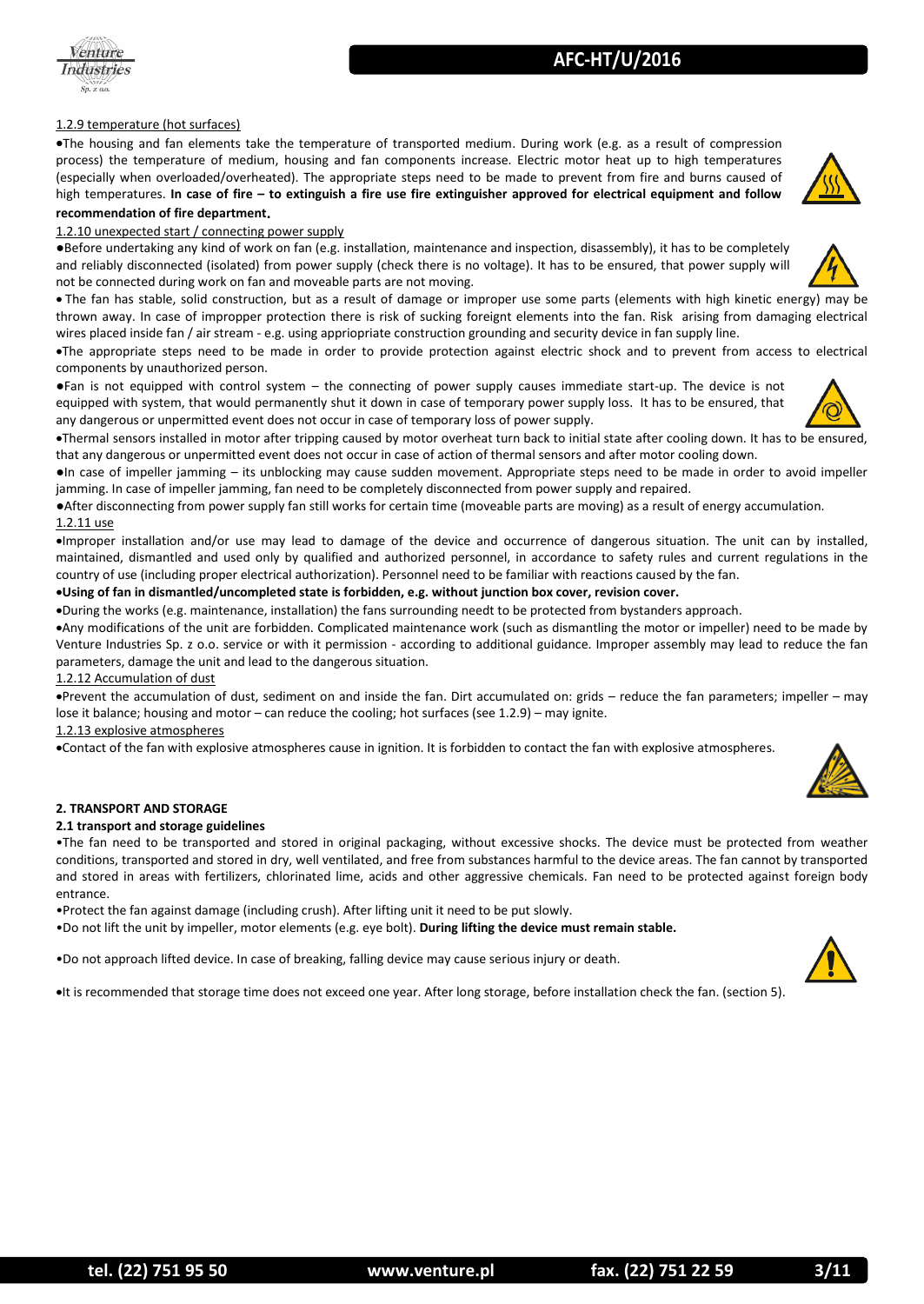

#### 1.2.9 temperature (hot surfaces)

The housing and fan elements take the temperature of transported medium. During work (e.g. as a result of compression process) the temperature of medium, housing and fan components increase. Electric motor heat up to high temperatures (especially when overloaded/overheated). The appropriate steps need to be made to prevent from fire and burns caused of high temperatures. **In case of fire – to extinguish a fire use fire extinguisher approved for electrical equipment and follow recommendation of fire department**.

1.2.10 unexpected start / connecting power supply

●Before undertaking any kind of work on fan (e.g. installation, maintenance and inspection, disassembly), it has to be completely and reliably disconnected (isolated) from power supply (check there is no voltage). It has to be ensured, that power supply will not be connected during work on fan and moveable parts are not moving.

 The fan has stable, solid construction, but as a result of damage or improper use some parts (elements with high kinetic energy) may be thrown away. In case of impropper protection there is risk of sucking foreignt elements into the fan. Risk arising from damaging electrical wires placed inside fan / air stream - e.g. using appriopriate construction grounding and security device in fan supply line.

The appropriate steps need to be made in order to provide protection against electric shock and to prevent from access to electrical components by unauthorized person.

●Fan is not equipped with control system – the connecting of power supply causes immediate start-up. The device is not equipped with system, that would permanently shut it down in case of temporary power supply loss. It has to be ensured, that any dangerous or unpermitted event does not occur in case of temporary loss of power supply.

Thermal sensors installed in motor after tripping caused by motor overheat turn back to initial state after cooling down. It has to be ensured, that any dangerous or unpermitted event does not occur in case of action of thermal sensors and after motor cooling down.

●In case of impeller jamming – its unblocking may cause sudden movement. Appropriate steps need to be made in order to avoid impeller jamming. In case of impeller jamming, fan need to be completely disconnected from power supply and repaired.

●After disconnecting from power supply fan still works for certain time (moveable parts are moving) as a result of energy accumulation. 1.2.11 use

Improper installation and/or use may lead to damage of the device and occurrence of dangerous situation. The unit can by installed, maintained, dismantled and used only by qualified and authorized personnel, in accordance to safety rules and current regulations in the country of use (including proper electrical authorization). Personnel need to be familiar with reactions caused by the fan.

#### **Using of fan in dismantled/uncompleted state is forbidden, e.g. without junction box cover, revision cover.**

During the works (e.g. maintenance, installation) the fans surrounding needt to be protected from bystanders approach.

Any modifications of the unit are forbidden. Complicated maintenance work (such as dismantling the motor or impeller) need to be made by Venture Industries Sp. z o.o. service or with it permission - according to additional guidance. Improper assembly may lead to reduce the fan parameters, damage the unit and lead to the dangerous situation.

1.2.12 Accumulation of dust

Prevent the accumulation of dust, sediment on and inside the fan. Dirt accumulated on: grids – reduce the fan parameters; impeller – may lose it balance; housing and motor – can reduce the cooling; hot surfaces (see 1.2.9) – may ignite.

#### 1.2.13 explosive atmospheres

Contact of the fan with explosive atmospheres cause in ignition. It is forbidden to contact the fan with explosive atmospheres.

#### **2. TRANSPORT AND STORAGE**

#### **2.1 transport and storage guidelines**

•The fan need to be transported and stored in original packaging, without excessive shocks. The device must be protected from weather conditions, transported and stored in dry, well ventilated, and free from substances harmful to the device areas. The fan cannot by transported and stored in areas with fertilizers, chlorinated lime, acids and other aggressive chemicals. Fan need to be protected against foreign body entrance.

•Protect the fan against damage (including crush). After lifting unit it need to be put slowly.

•Do not lift the unit by impeller, motor elements (e.g. eye bolt). **During lifting the device must remain stable.**

•Do not approach lifted device. In case of breaking, falling device may cause serious injury or death.

It is recommended that storage time does not exceed one year. After long storage, before installation check the fan. (section 5).



**AFC-HT/U/2016**

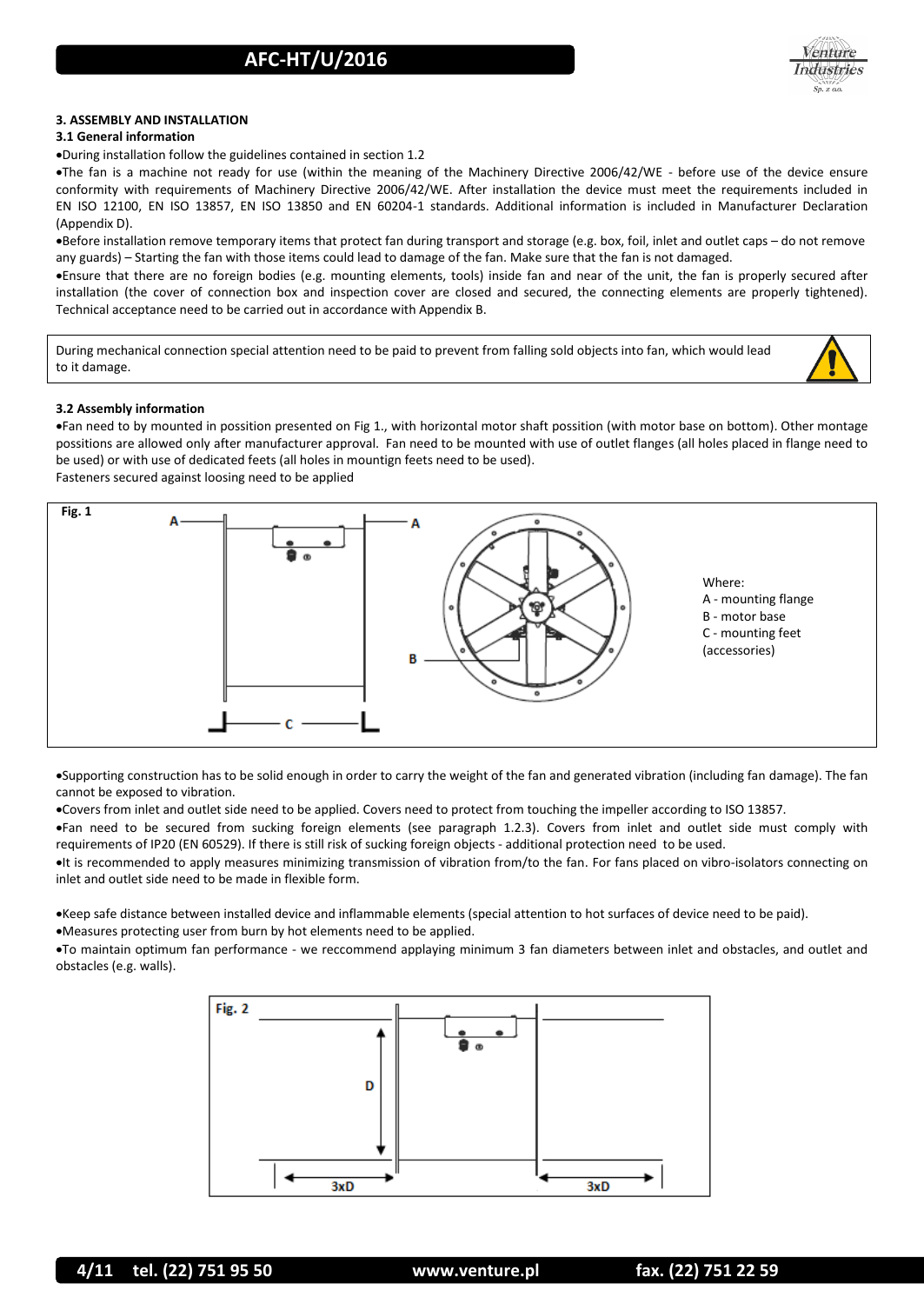

#### **3. ASSEMBLY AND INSTALLATION**

#### **3.1 General information**

During installation follow the guidelines contained in section 1.2

The fan is a machine not ready for use (within the meaning of the Machinery Directive 2006/42/WE - before use of the device ensure conformity with requirements of Machinery Directive 2006/42/WE. After installation the device must meet the requirements included in EN ISO 12100, EN ISO 13857, EN ISO 13850 and EN 60204-1 standards. Additional information is included in Manufacturer Declaration (Appendix D).

Before installation remove temporary items that protect fan during transport and storage (e.g. box, foil, inlet and outlet caps – do not remove any guards) – Starting the fan with those items could lead to damage of the fan. Make sure that the fan is not damaged.

Ensure that there are no foreign bodies (e.g. mounting elements, tools) inside fan and near of the unit, the fan is properly secured after installation (the cover of connection box and inspection cover are closed and secured, the connecting elements are properly tightened). Technical acceptance need to be carried out in accordance with Appendix B.

During mechanical connection special attention need to be paid to prevent from falling sold objects into fan, which would lead to it damage.



#### **3.2 Assembly information**

Fan need to by mounted in possition presented on Fig 1., with horizontal motor shaft possition (with motor base on bottom). Other montage possitions are allowed only after manufacturer approval. Fan need to be mounted with use of outlet flanges (all holes placed in flange need to be used) or with use of dedicated feets (all holes in mountign feets need to be used). Fasteners secured against loosing need to be applied



Supporting construction has to be solid enough in order to carry the weight of the fan and generated vibration (including fan damage). The fan cannot be exposed to vibration.

Covers from inlet and outlet side need to be applied. Covers need to protect from touching the impeller according to ISO 13857.

Fan need to be secured from sucking foreign elements (see paragraph 1.2.3). Covers from inlet and outlet side must comply with requirements of IP20 (EN 60529). If there is still risk of sucking foreign objects - additional protection need to be used.

It is recommended to apply measures minimizing transmission of vibration from/to the fan. For fans placed on vibro-isolators connecting on inlet and outlet side need to be made in flexible form.

Keep safe distance between installed device and inflammable elements (special attention to hot surfaces of device need to be paid).

Measures protecting user from burn by hot elements need to be applied.

To maintain optimum fan performance - we reccommend applaying minimum 3 fan diameters between inlet and obstacles, and outlet and obstacles (e.g. walls).

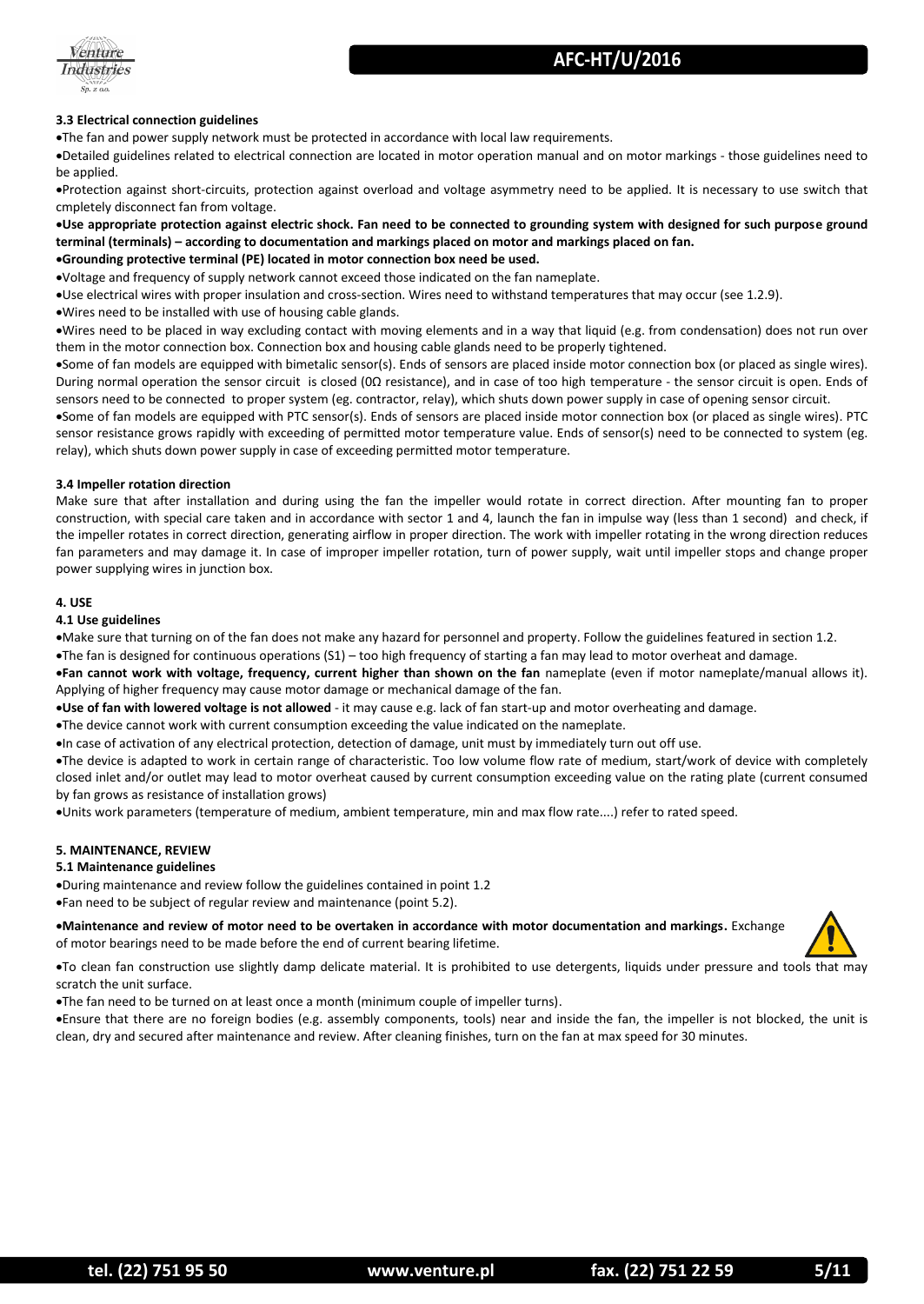



#### **3.3 Electrical connection guidelines**

The fan and power supply network must be protected in accordance with local law requirements.

Detailed guidelines related to electrical connection are located in motor operation manual and on motor markings - those guidelines need to be applied.

Protection against short-circuits, protection against overload and voltage asymmetry need to be applied. It is necessary to use switch that cmpletely disconnect fan from voltage.

**Use appropriate protection against electric shock. Fan need to be connected to grounding system with designed for such purpose ground terminal (terminals) – according to documentation and markings placed on motor and markings placed on fan. Grounding protective terminal (PE) located in motor connection box need be used.**

Voltage and frequency of supply network cannot exceed those indicated on the fan nameplate.

Use electrical wires with proper insulation and cross-section. Wires need to withstand temperatures that may occur (see 1.2.9).

Wires need to be installed with use of housing cable glands.

Wires need to be placed in way excluding contact with moving elements and in a way that liquid (e.g. from condensation) does not run over them in the motor connection box. Connection box and housing cable glands need to be properly tightened.

Some of fan models are equipped with bimetalic sensor(s). Ends of sensors are placed inside motor connection box (or placed as single wires). During normal operation the sensor circuit is closed (0Ω resistance), and in case of too high temperature - the sensor circuit is open. Ends of sensors need to be connected to proper system (eg. contractor, relay), which shuts down power supply in case of opening sensor circuit.

Some of fan models are equipped with PTC sensor(s). Ends of sensors are placed inside motor connection box (or placed as single wires). PTC sensor resistance grows rapidly with exceeding of permitted motor temperature value. Ends of sensor(s) need to be connected to system (eg. relay), which shuts down power supply in case of exceeding permitted motor temperature.

#### **3.4 Impeller rotation direction**

Make sure that after installation and during using the fan the impeller would rotate in correct direction. After mounting fan to proper construction, with special care taken and in accordance with sector 1 and 4, launch the fan in impulse way (less than 1 second) and check, if the impeller rotates in correct direction, generating airflow in proper direction. The work with impeller rotating in the wrong direction reduces fan parameters and may damage it. In case of improper impeller rotation, turn of power supply, wait until impeller stops and change proper power supplying wires in junction box.

#### **4. USE**

#### **4.1 Use guidelines**

Make sure that turning on of the fan does not make any hazard for personnel and property. Follow the guidelines featured in section 1.2.

The fan is designed for continuous operations (S1) – too high frequency of starting a fan may lead to motor overheat and damage.

**Fan cannot work with voltage, frequency, current higher than shown on the fan** nameplate (even if motor nameplate/manual allows it). Applying of higher frequency may cause motor damage or mechanical damage of the fan.

**Use of fan with lowered voltage is not allowed** - it may cause e.g. lack of fan start-up and motor overheating and damage.

The device cannot work with current consumption exceeding the value indicated on the nameplate.

In case of activation of any electrical protection, detection of damage, unit must by immediately turn out off use.

The device is adapted to work in certain range of characteristic. Too low volume flow rate of medium, start/work of device with completely closed inlet and/or outlet may lead to motor overheat caused by current consumption exceeding value on the rating plate (current consumed by fan grows as resistance of installation grows)

Units work parameters (temperature of medium, ambient temperature, min and max flow rate....) refer to rated speed.

#### **5. MAINTENANCE, REVIEW**

#### **5.1 Maintenance guidelines**

During maintenance and review follow the guidelines contained in point 1.2 Fan need to be subject of regular review and maintenance (point 5.2).

#### **Maintenance and review of motor need to be overtaken in accordance with motor documentation and markings.** Exchange of motor bearings need to be made before the end of current bearing lifetime.



To clean fan construction use slightly damp delicate material. It is prohibited to use detergents, liquids under pressure and tools that may scratch the unit surface.

The fan need to be turned on at least once a month (minimum couple of impeller turns).

Ensure that there are no foreign bodies (e.g. assembly components, tools) near and inside the fan, the impeller is not blocked, the unit is clean, dry and secured after maintenance and review. After cleaning finishes, turn on the fan at max speed for 30 minutes.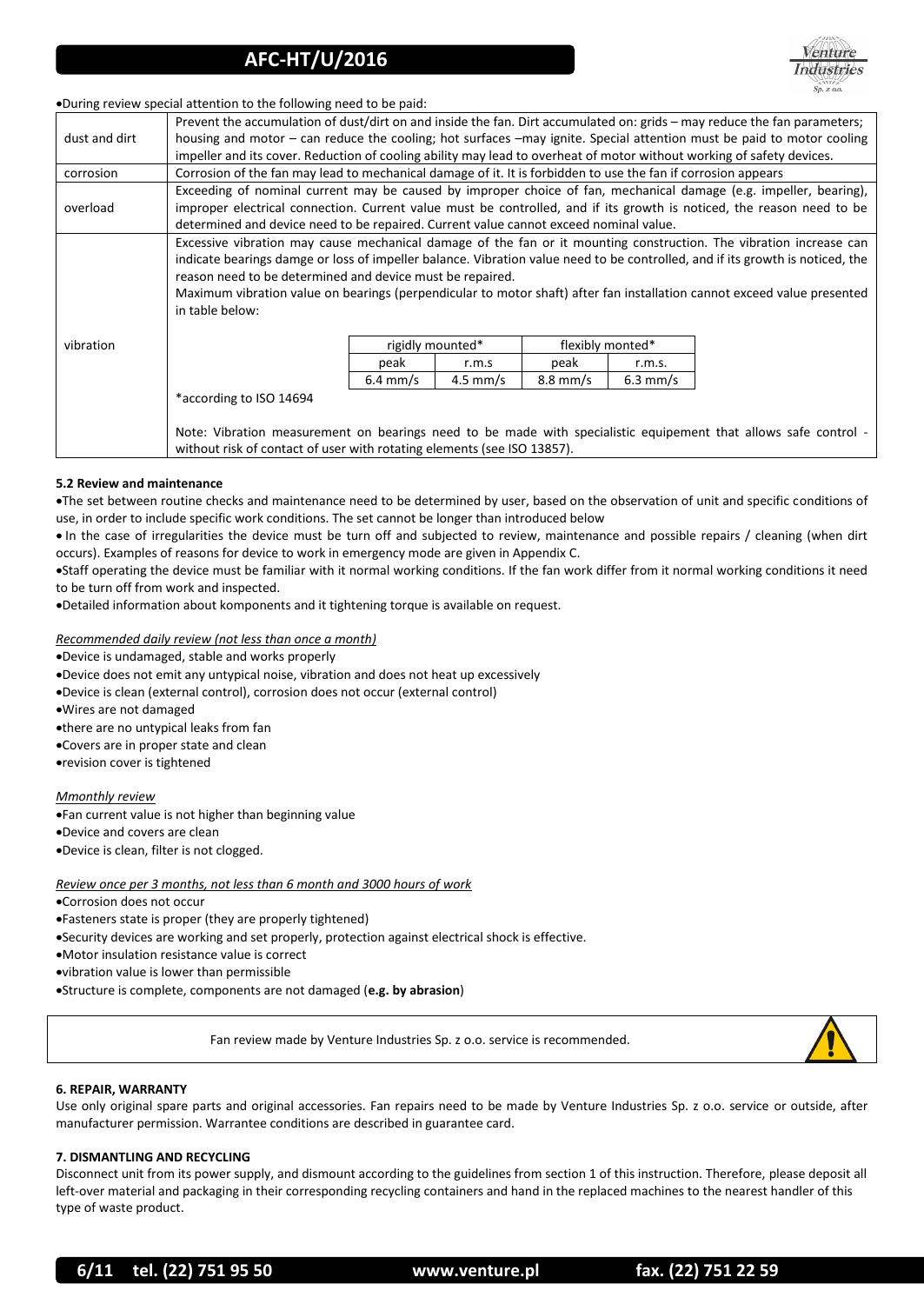

During review special attention to the following need to be paid:

|               | Prevent the accumulation of dust/dirt on and inside the fan. Dirt accumulated on: grids – may reduce the fan parameters;      |                    |                    |                    |            |  |  |
|---------------|-------------------------------------------------------------------------------------------------------------------------------|--------------------|--------------------|--------------------|------------|--|--|
| dust and dirt | housing and motor – can reduce the cooling; hot surfaces –may ignite. Special attention must be paid to motor cooling         |                    |                    |                    |            |  |  |
|               | impeller and its cover. Reduction of cooling ability may lead to overheat of motor without working of safety devices.         |                    |                    |                    |            |  |  |
| corrosion     | Corrosion of the fan may lead to mechanical damage of it. It is forbidden to use the fan if corrosion appears                 |                    |                    |                    |            |  |  |
| overload      | Exceeding of nominal current may be caused by improper choice of fan, mechanical damage (e.g. impeller, bearing),             |                    |                    |                    |            |  |  |
|               | improper electrical connection. Current value must be controlled, and if its growth is noticed, the reason need to be         |                    |                    |                    |            |  |  |
|               | determined and device need to be repaired. Current value cannot exceed nominal value.                                         |                    |                    |                    |            |  |  |
|               | Excessive vibration may cause mechanical damage of the fan or it mounting construction. The vibration increase can            |                    |                    |                    |            |  |  |
|               | indicate bearings damge or loss of impeller balance. Vibration value need to be controlled, and if its growth is noticed, the |                    |                    |                    |            |  |  |
|               | reason need to be determined and device must be repaired.                                                                     |                    |                    |                    |            |  |  |
|               | Maximum vibration value on bearings (perpendicular to motor shaft) after fan installation cannot exceed value presented       |                    |                    |                    |            |  |  |
|               | in table below:                                                                                                               |                    |                    |                    |            |  |  |
| vibration     |                                                                                                                               |                    |                    |                    |            |  |  |
|               |                                                                                                                               | rigidly mounted*   |                    | flexibly monted*   |            |  |  |
|               |                                                                                                                               | peak               | r.m.s              | peak               | r.m.s.     |  |  |
|               |                                                                                                                               | $6.4 \text{ mm/s}$ | $4.5 \text{ mm/s}$ | $8.8 \text{ mm/s}$ | $6.3$ mm/s |  |  |
|               | *according to ISO 14694                                                                                                       |                    |                    |                    |            |  |  |
|               |                                                                                                                               |                    |                    |                    |            |  |  |
|               | Note: Vibration measurement on bearings need to be made with specialistic equipement that allows safe control -               |                    |                    |                    |            |  |  |
|               | without risk of contact of user with rotating elements (see ISO 13857).                                                       |                    |                    |                    |            |  |  |
|               |                                                                                                                               |                    |                    |                    |            |  |  |

#### **5.2 Review and maintenance**

The set between routine checks and maintenance need to be determined by user, based on the observation of unit and specific conditions of use, in order to include specific work conditions. The set cannot be longer than introduced below

 In the case of irregularities the device must be turn off and subjected to review, maintenance and possible repairs / cleaning (when dirt occurs). Examples of reasons for device to work in emergency mode are given in Appendix C.

Staff operating the device must be familiar with it normal working conditions. If the fan work differ from it normal working conditions it need to be turn off from work and inspected.

Detailed information about komponents and it tightening torque is available on request.

#### *Recommended daily review (not less than once a month)*

Device is undamaged, stable and works properly

Device does not emit any untypical noise, vibration and does not heat up excessively

Device is clean (external control), corrosion does not occur (external control)

Wires are not damaged

there are no untypical leaks from fan

Covers are in proper state and clean

revision cover is tightened

*Mmonthly review*

Fan current value is not higher than beginning value

Device and covers are clean

Device is clean, filter is not clogged.

#### *Review once per 3 months, not less than 6 month and 3000 hours of work*

Corrosion does not occur

Fasteners state is proper (they are properly tightened)

Security devices are working and set properly, protection against electrical shock is effective.

Motor insulation resistance value is correct

vibration value is lower than permissible

Structure is complete, components are not damaged (**e.g. by abrasion**)

Fan review made by Venture Industries Sp. z o.o. service is recommended.



#### **6. REPAIR, WARRANTY**

Use only original spare parts and original accessories. Fan repairs need to be made by Venture Industries Sp. z o.o. service or outside, after manufacturer permission. Warrantee conditions are described in guarantee card.

#### **7. DISMANTLING AND RECYCLING**

Disconnect unit from its power supply, and dismount according to the guidelines from section 1 of this instruction. Therefore, please deposit all left-over material and packaging in their corresponding recycling containers and hand in the replaced machines to the nearest handler of this type of waste product.

**6/11 tel. (22) 751 95 50 www.venture.pl fax. (22) 751 22 59**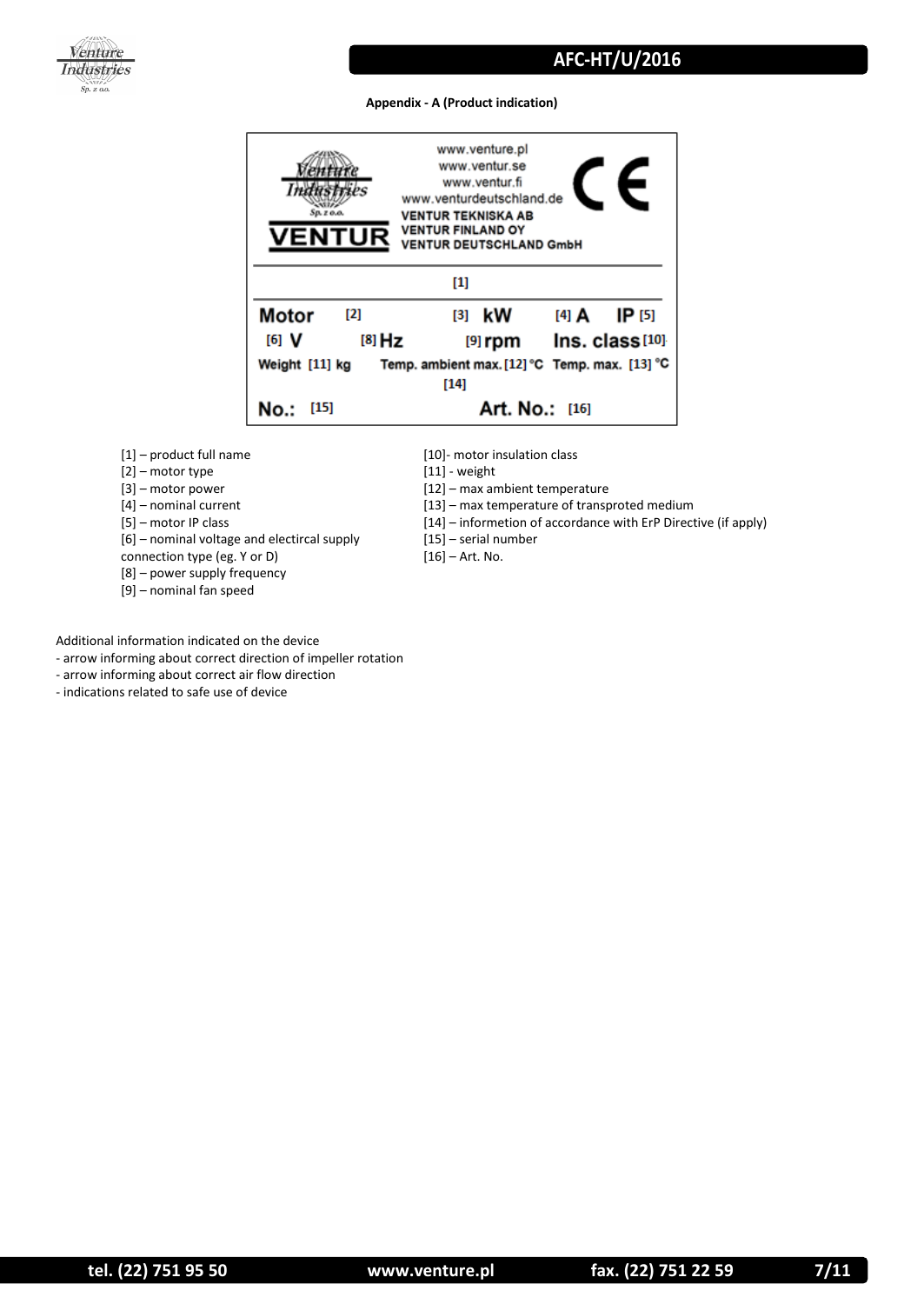

#### **Appendix - A (Product indication)**



- [1] product full name
- [2] motor type
- [3] motor power
- [4] nominal current
- [5] motor IP class

[6] – nominal voltage and electircal supply

- connection type (eg. Y or D)
- [8] power supply frequency
- [9] nominal fan speed
- [10]- motor insulation class
- [11] weight
- [12] max ambient temperature
- [13] max temperature of transproted medium
- [14] informetion of accordance with ErP Directive (if apply)
- [15] serial number
- [16] Art. No.

Additional information indicated on the device

- arrow informing about correct direction of impeller rotation
- arrow informing about correct air flow direction
- indications related to safe use of device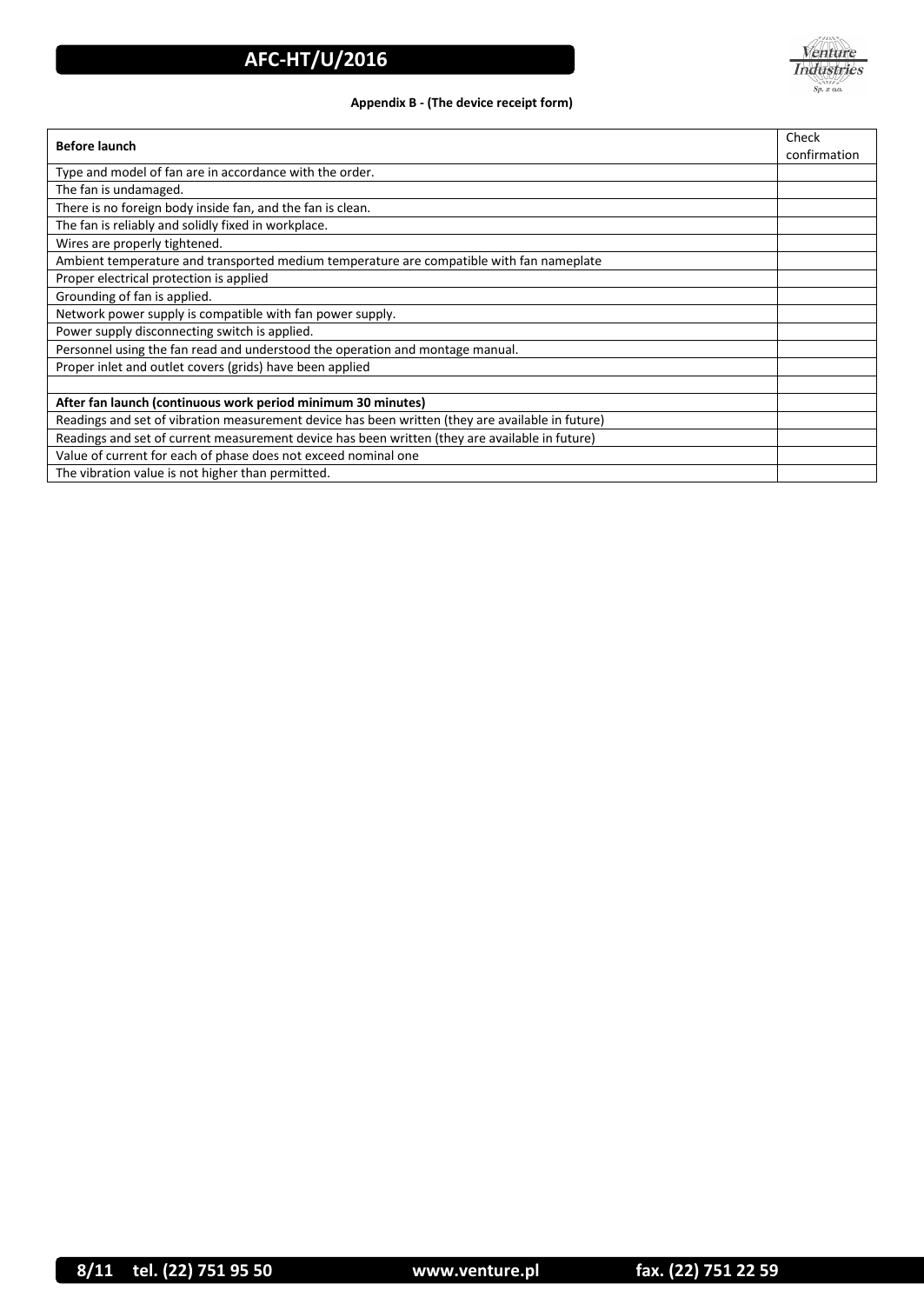

### **Appendix B - (The device receipt form)**

| <b>Before launch</b>                                                                             | Check<br>confirmation |  |  |
|--------------------------------------------------------------------------------------------------|-----------------------|--|--|
| Type and model of fan are in accordance with the order.                                          |                       |  |  |
| The fan is undamaged.                                                                            |                       |  |  |
| There is no foreign body inside fan, and the fan is clean.                                       |                       |  |  |
| The fan is reliably and solidly fixed in workplace.                                              |                       |  |  |
| Wires are properly tightened.                                                                    |                       |  |  |
| Ambient temperature and transported medium temperature are compatible with fan nameplate         |                       |  |  |
| Proper electrical protection is applied                                                          |                       |  |  |
| Grounding of fan is applied.                                                                     |                       |  |  |
| Network power supply is compatible with fan power supply.                                        |                       |  |  |
| Power supply disconnecting switch is applied.                                                    |                       |  |  |
| Personnel using the fan read and understood the operation and montage manual.                    |                       |  |  |
| Proper inlet and outlet covers (grids) have been applied                                         |                       |  |  |
|                                                                                                  |                       |  |  |
| After fan launch (continuous work period minimum 30 minutes)                                     |                       |  |  |
| Readings and set of vibration measurement device has been written (they are available in future) |                       |  |  |
| Readings and set of current measurement device has been written (they are available in future)   |                       |  |  |
| Value of current for each of phase does not exceed nominal one                                   |                       |  |  |
| The vibration value is not higher than permitted.                                                |                       |  |  |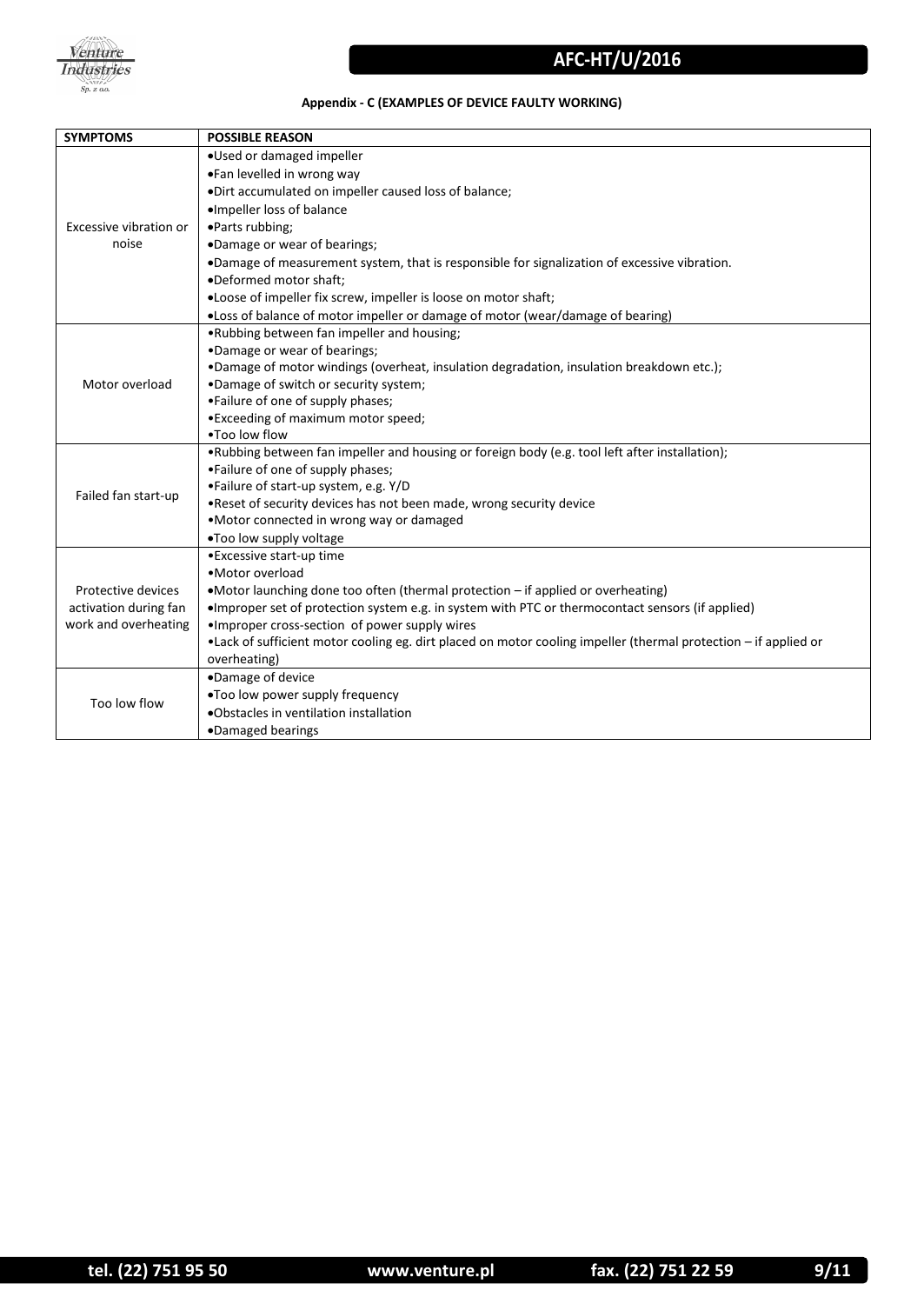

### **Appendix - C (EXAMPLES OF DEVICE FAULTY WORKING)**

| <b>SYMPTOMS</b>                               | <b>POSSIBLE REASON</b>                                                                                                                                            |
|-----------------------------------------------|-------------------------------------------------------------------------------------------------------------------------------------------------------------------|
|                                               | .Used or damaged impeller                                                                                                                                         |
|                                               | •Fan levelled in wrong way                                                                                                                                        |
|                                               | .Dirt accumulated on impeller caused loss of balance;                                                                                                             |
| Excessive vibration or<br>noise               | ·Impeller loss of balance                                                                                                                                         |
|                                               | •Parts rubbing;                                                                                                                                                   |
|                                               | .Damage or wear of bearings;                                                                                                                                      |
|                                               | .Damage of measurement system, that is responsible for signalization of excessive vibration.                                                                      |
|                                               | •Deformed motor shaft:                                                                                                                                            |
|                                               | • Loose of impeller fix screw, impeller is loose on motor shaft;                                                                                                  |
|                                               | .Loss of balance of motor impeller or damage of motor (wear/damage of bearing)                                                                                    |
|                                               | .Rubbing between fan impeller and housing;                                                                                                                        |
|                                               | •Damage or wear of bearings;                                                                                                                                      |
|                                               | . Damage of motor windings (overheat, insulation degradation, insulation breakdown etc.);                                                                         |
| Motor overload                                | .Damage of switch or security system;                                                                                                                             |
|                                               | •Failure of one of supply phases;                                                                                                                                 |
|                                               | • Exceeding of maximum motor speed;                                                                                                                               |
|                                               | . Too low flow                                                                                                                                                    |
|                                               | •Rubbing between fan impeller and housing or foreign body (e.g. tool left after installation);                                                                    |
|                                               | •Failure of one of supply phases;                                                                                                                                 |
| Failed fan start-up                           | •Failure of start-up system, e.g. Y/D                                                                                                                             |
|                                               | . Reset of security devices has not been made, wrong security device                                                                                              |
|                                               | •Motor connected in wrong way or damaged                                                                                                                          |
|                                               | .Too low supply voltage                                                                                                                                           |
|                                               | • Excessive start-up time<br>• Motor overload                                                                                                                     |
|                                               |                                                                                                                                                                   |
| Protective devices                            | •Motor launching done too often (thermal protection - if applied or overheating)                                                                                  |
| activation during fan<br>work and overheating | •Improper set of protection system e.g. in system with PTC or thermocontact sensors (if applied)                                                                  |
|                                               | . Improper cross-section of power supply wires<br>•Lack of sufficient motor cooling eg. dirt placed on motor cooling impeller (thermal protection - if applied or |
|                                               | overheating)                                                                                                                                                      |
|                                               | •Damage of device                                                                                                                                                 |
| Too low flow                                  | .Too low power supply frequency                                                                                                                                   |
|                                               | •Obstacles in ventilation installation                                                                                                                            |
|                                               |                                                                                                                                                                   |
|                                               | •Damaged bearings                                                                                                                                                 |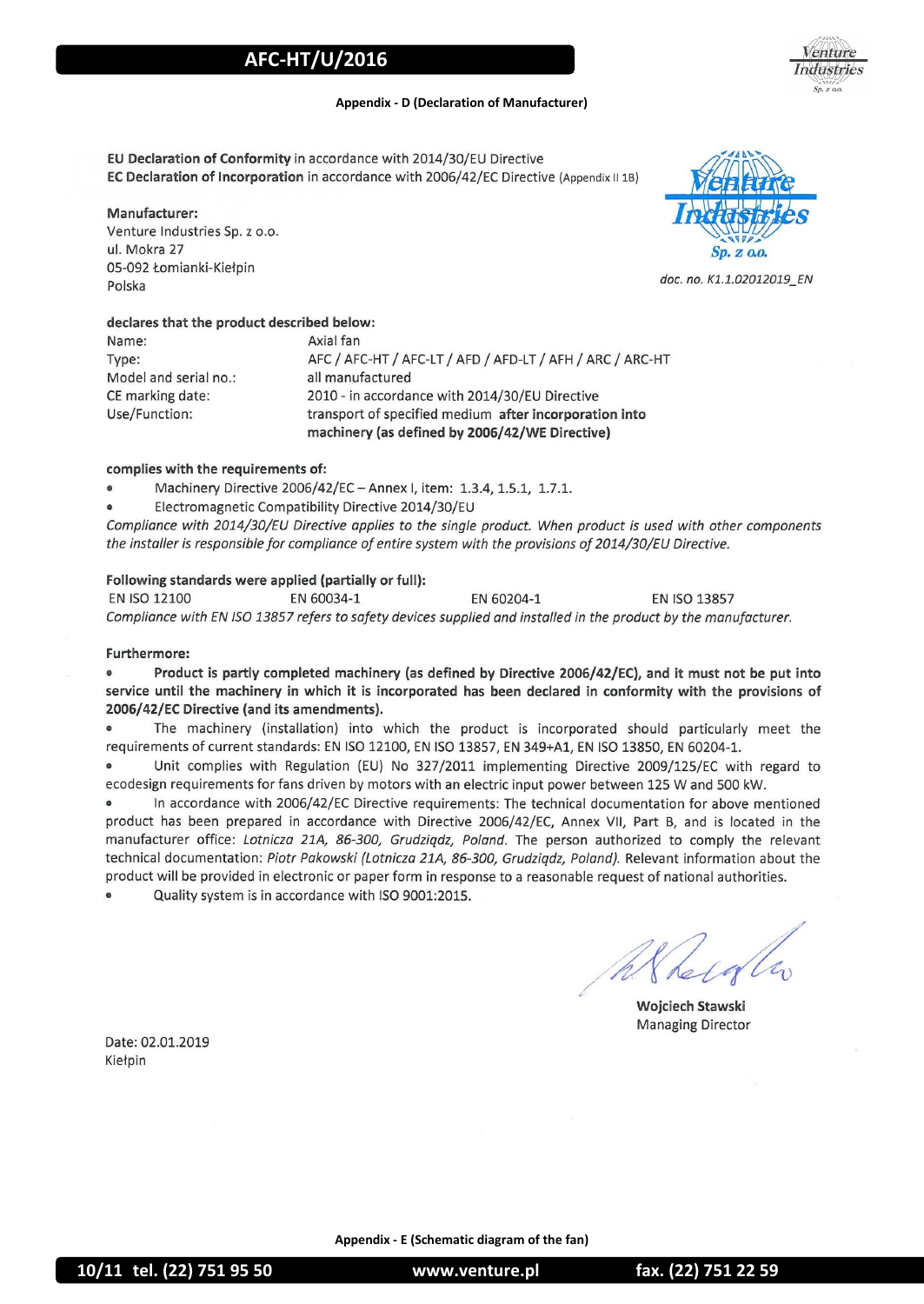enture ndustries

#### **Appendix - D (Declaration of Manufacturer)**

EU Declaration of Conformity in accordance with 2014/30/EU Directive EC Declaration of Incorporation in accordance with 2006/42/EC Directive (Appendix II 1B)

#### Manufacturer:

Venture Industries Sp. z o.o. ul. Mokra 27 05-092 Łomianki-Kiełpin Polska

#### declares that the product described below:

Axial fan Name: Type: AFC / AFC-HT / AFC-LT / AFD / AFD-LT / AFH / ARC / ARC-HT Model and serial no.: all manufactured CE marking date: 2010 - in accordance with 2014/30/EU Directive Use/Function: transport of specified medium after incorporation into machinery (as defined by 2006/42/WE Directive)

#### complies with the requirements of:

- Machinery Directive 2006/42/EC Annex I, item: 1.3.4, 1.5.1, 1.7.1.
- Electromagnetic Compatibility Directive 2014/30/EU

Compliance with 2014/30/EU Directive applies to the single product. When product is used with other components the installer is responsible for compliance of entire system with the provisions of 2014/30/EU Directive.

#### Following standards were applied (partially or full):

**EN ISO 12100** EN 60034-1 EN 60204-1 **EN ISO 13857** Compliance with EN ISO 13857 refers to safety devices supplied and installed in the product by the manufacturer.

#### Furthermore:

Product is partly completed machinery (as defined by Directive 2006/42/EC), and it must not be put into  $\bullet$ service until the machinery in which it is incorporated has been declared in conformity with the provisions of 2006/42/EC Directive (and its amendments).

The machinery (installation) into which the product is incorporated should particularly meet the requirements of current standards: EN ISO 12100, EN ISO 13857, EN 349+A1, EN ISO 13850, EN 60204-1.

Unit complies with Regulation (EU) No 327/2011 implementing Directive 2009/125/EC with regard to ecodesign requirements for fans driven by motors with an electric input power between 125 W and 500 kW.

In accordance with 2006/42/EC Directive requirements: The technical documentation for above mentioned product has been prepared in accordance with Directive 2006/42/EC, Annex VII, Part B, and is located in the manufacturer office: Lotnicza 21A, 86-300, Grudziądz, Poland. The person authorized to comply the relevant technical documentation: Piotr Pakowski (Lotnicza 21A, 86-300, Grudziądz, Poland). Relevant information about the product will be provided in electronic or paper form in response to a reasonable request of national authorities. Quality system is in accordance with ISO 9001:2015.

Wojciech Stawski **Managing Director** 

Date: 02.01.2019 Kiełpin



doc. no. K1.1.02012019 EN

**Appendix - E (Schematic diagram of the fan)**